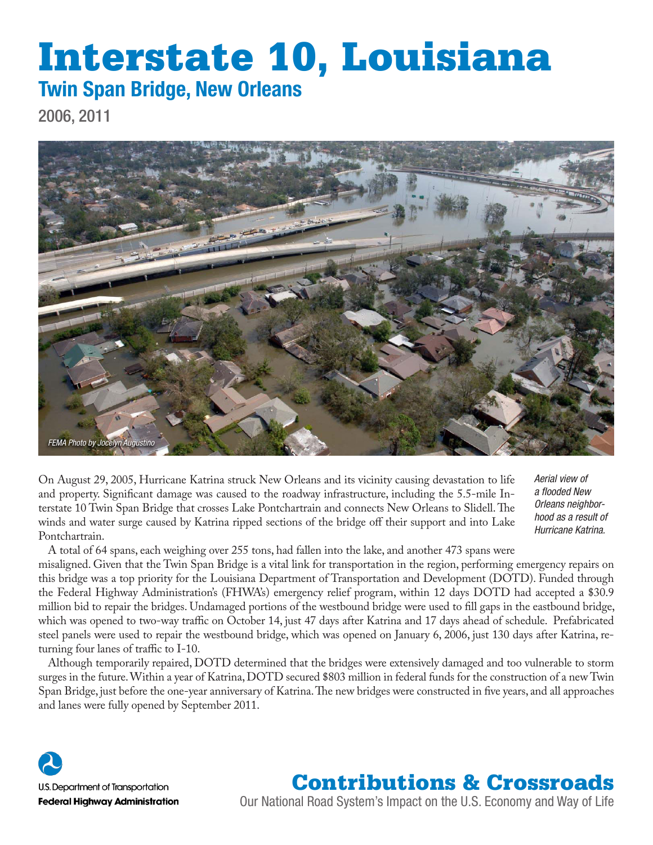# Interstate 10, Louisiana Twin Span Bridge, New Orleans

2006, 2011



On August 29, 2005, Hurricane Katrina struck New Orleans and its vicinity causing devastation to life and property. Significant damage was caused to the roadway infrastructure, including the 5.5-mile Interstate 10 Twin Span Bridge that crosses Lake Pontchartrain and connects New Orleans to Slidell. The winds and water surge caused by Katrina ripped sections of the bridge off their support and into Lake Pontchartrain.

*Aerial view of a flooded New Orleans neighborhood as a result of Hurricane Katrina.* 

A total of 64 spans, each weighing over 255 tons, had fallen into the lake, and another 473 spans were misaligned. Given that the Twin Span Bridge is a vital link for transportation in the region, performing emergency repairs on this bridge was a top priority for the Louisiana Department of Transportation and Development (DOTD). Funded through the Federal Highway Administration's (FHWA's) emergency relief program, within 12 days DOTD had accepted a \$30.9

million bid to repair the bridges. Undamaged portions of the westbound bridge were used to fill gaps in the eastbound bridge, which was opened to two-way traffic on October 14, just 47 days after Katrina and 17 days ahead of schedule. Prefabricated steel panels were used to repair the westbound bridge, which was opened on January 6, 2006, just 130 days after Katrina, returning four lanes of traffic to I-10.

Although temporarily repaired, DOTD determined that the bridges were extensively damaged and too vulnerable to storm surges in the future. Within a year of Katrina, DOTD secured \$803 million in federal funds for the construction of a new Twin Span Bridge, just before the one-year anniversary of Katrina. The new bridges were constructed in five years, and all approaches and lanes were fully opened by September 2011.



### Contributions & Crossroads

Our National Road System's Impact on the U.S. Economy and Way of Life